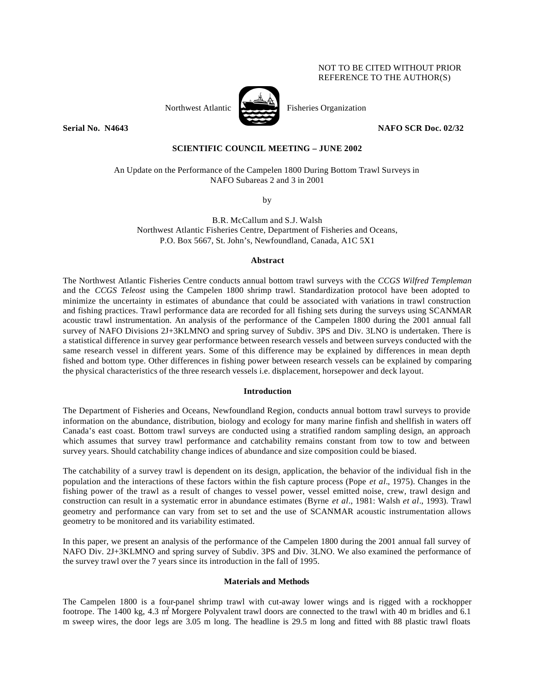# NOT TO BE CITED WITHOUT PRIOR REFERENCE TO THE AUTHOR(S)



Northwest Atlantic Fisheries Organization

**Serial No. N4643 NAFO SCR Doc. 02/32**

# **SCIENTIFIC COUNCIL MEETING – JUNE 2002**

An Update on the Performance of the Campelen 1800 During Bottom Trawl Surveys in NAFO Subareas 2 and 3 in 2001

by

B.R. McCallum and S.J. Walsh Northwest Atlantic Fisheries Centre, Department of Fisheries and Oceans, P.O. Box 5667, St. John's, Newfoundland, Canada, A1C 5X1

# **Abstract**

The Northwest Atlantic Fisheries Centre conducts annual bottom trawl surveys with the *CCGS Wilfred Templeman* and the *CCGS Teleost* using the Campelen 1800 shrimp trawl. Standardization protocol have been adopted to minimize the uncertainty in estimates of abundance that could be associated with variations in trawl construction and fishing practices. Trawl performance data are recorded for all fishing sets during the surveys using SCANMAR acoustic trawl instrumentation. An analysis of the performance of the Campelen 1800 during the 2001 annual fall survey of NAFO Divisions 2J+3KLMNO and spring survey of Subdiv. 3PS and Div. 3LNO is undertaken. There is a statistical difference in survey gear performance between research vessels and between surveys conducted with the same research vessel in different years. Some of this difference may be explained by differences in mean depth fished and bottom type. Other differences in fishing power between research vessels can be explained by comparing the physical characteristics of the three research vessels i.e. displacement, horsepower and deck layout.

#### **Introduction**

The Department of Fisheries and Oceans, Newfoundland Region, conducts annual bottom trawl surveys to provide information on the abundance, distribution, biology and ecology for many marine finfish and shellfish in waters off Canada's east coast. Bottom trawl surveys are conducted using a stratified random sampling design, an approach which assumes that survey trawl performance and catchability remains constant from tow to tow and between survey years. Should catchability change indices of abundance and size composition could be biased.

The catchability of a survey trawl is dependent on its design, application, the behavior of the individual fish in the population and the interactions of these factors within the fish capture process (Pope *et al.*, 1975). Changes in the fishing power of the trawl as a result of changes to vessel power, vessel emitted noise, crew, trawl design and construction can result in a systematic error in abundance estimates (Byrne *et al*., 1981: Walsh *et al*., 1993). Trawl geometry and performance can vary from set to set and the use of SCANMAR acoustic instrumentation allows geometry to be monitored and its variability estimated.

In this paper, we present an analysis of the performance of the Campelen 1800 during the 2001 annual fall survey of NAFO Div. 2J+3KLMNO and spring survey of Subdiv. 3PS and Div. 3LNO. We also examined the performance of the survey trawl over the 7 years since its introduction in the fall of 1995.

### **Materials and Methods**

The Campelen 1800 is a four-panel shrimp trawl with cut-away lower wings and is rigged with a rockhopper footrope. The 1400 kg, 4.3  $m<sup>2</sup>$  Morgere Polyvalent trawl doors are connected to the trawl with 40 m bridles and 6.1 m sweep wires, the door legs are 3.05 m long. The headline is 29.5 m long and fitted with 88 plastic trawl floats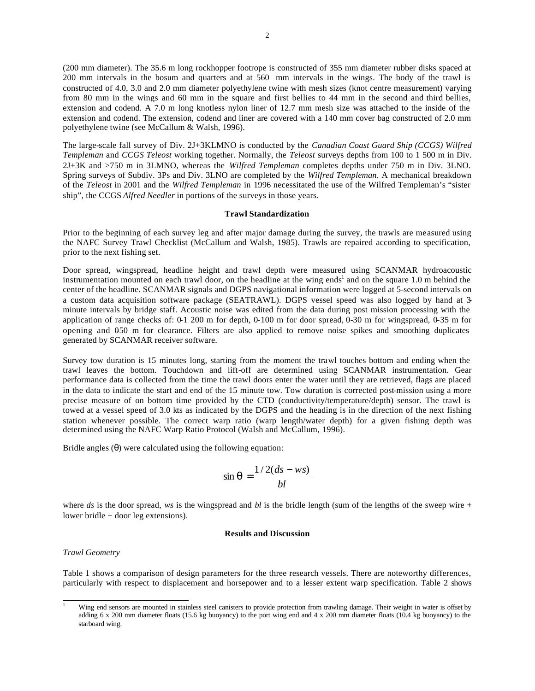(200 mm diameter). The 35.6 m long rockhopper footrope is constructed of 355 mm diameter rubber disks spaced at 200 mm intervals in the bosum and quarters and at 560 mm intervals in the wings. The body of the trawl is constructed of 4.0, 3.0 and 2.0 mm diameter polyethylene twine with mesh sizes (knot centre measurement) varying from 80 mm in the wings and 60 mm in the square and first bellies to 44 mm in the second and third bellies, extension and codend. A 7.0 m long knotless nylon liner of 12.7 mm mesh size was attached to the inside of the extension and codend. The extension, codend and liner are covered with a 140 mm cover bag constructed of 2.0 mm polyethylene twine (see McCallum & Walsh, 1996).

The large-scale fall survey of Div. 2J+3KLMNO is conducted by the *Canadian Coast Guard Ship (CCGS) Wilfred Templeman* and *CCGS Teleost* working together. Normally, the *Teleost* surveys depths from 100 to 1 500 m in Div. 2J+3K and >750 m in 3LMNO, whereas the *Wilfred Templeman* completes depths under 750 m in Div. 3LNO. Spring surveys of Subdiv. 3Ps and Div. 3LNO are completed by the *Wilfred Templeman*. A mechanical breakdown of the *Teleost* in 2001 and the *Wilfred Templeman* in 1996 necessitated the use of the Wilfred Templeman's "sister ship", the CCGS *Alfred Needler* in portions of the surveys in those years.

### **Trawl Standardization**

Prior to the beginning of each survey leg and after major damage during the survey, the trawls are measured using the NAFC Survey Trawl Checklist (McCallum and Walsh, 1985). Trawls are repaired according to specification, prior to the next fishing set.

Door spread, wingspread, headline height and trawl depth were measured using SCANMAR hydroacoustic instrumentation mounted on each trawl door, on the headline at the wing ends<sup>1</sup> and on the square 1.0 m behind the center of the headline. SCANMAR signals and DGPS navigational information were logged at 5-second intervals on a custom data acquisition software package (SEATRAWL). DGPS vessel speed was also logged by hand at 3 minute intervals by bridge staff. Acoustic noise was edited from the data during post mission processing with the application of range checks of: 0-1 200 m for depth, 0-100 m for door spread, 0-30 m for wingspread, 0-35 m for opening and 0-50 m for clearance. Filters are also applied to remove noise spikes and smoothing duplicates generated by SCANMAR receiver software.

Survey tow duration is 15 minutes long, starting from the moment the trawl touches bottom and ending when the trawl leaves the bottom. Touchdown and lift-off are determined using SCANMAR instrumentation. Gear performance data is collected from the time the trawl doors enter the water until they are retrieved, flags are placed in the data to indicate the start and end of the 15 minute tow. Tow duration is corrected post-mission using a more precise measure of on bottom time provided by the CTD (conductivity/temperature/depth) sensor. The trawl is towed at a vessel speed of 3.0 kts as indicated by the DGPS and the heading is in the direction of the next fishing station whenever possible. The correct warp ratio (warp length/water depth) for a given fishing depth was determined using the NAFC Warp Ratio Protocol (Walsh and McCallum, 1996).

Bridle angles  $(\theta)$  were calculated using the following equation:

$$
\sin \boldsymbol{q} = \frac{1/2(ds - ws)}{bl}
$$

where  $ds$  is the door spread,  $ws$  is the wingspread and  $bl$  is the bridle length (sum of the lengths of the sweep wire + lower bridle + door leg extensions).

# **Results and Discussion**

## *Trawl Geometry*

l

Table 1 shows a comparison of design parameters for the three research vessels. There are noteworthy differences, particularly with respect to displacement and horsepower and to a lesser extent warp specification. Table 2 shows

<sup>1</sup> Wing end sensors are mounted in stainless steel canisters to provide protection from trawling damage. Their weight in water is offset by adding 6 x 200 mm diameter floats (15.6 kg buoyancy) to the port wing end and 4 x 200 mm diameter floats (10.4 kg buoyancy) to the starboard wing.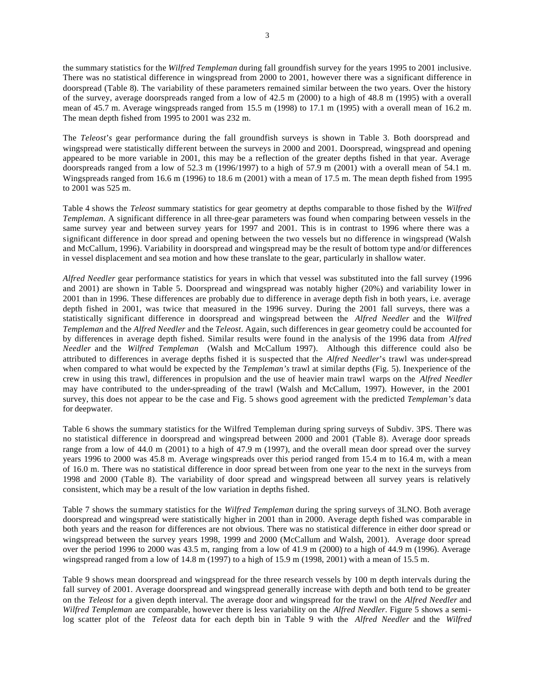the summary statistics for the *Wilfred Templeman* during fall groundfish survey for the years 1995 to 2001 inclusive. There was no statistical difference in wingspread from 2000 to 2001, however there was a significant difference in doorspread (Table 8). The variability of these parameters remained similar between the two years. Over the history of the survey, average doorspreads ranged from a low of 42.5 m (2000) to a high of 48.8 m (1995) with a overall mean of 45.7 m. Average wingspreads ranged from 15.5 m (1998) to 17.1 m (1995) with a overall mean of 16.2 m. The mean depth fished from 1995 to 2001 was 232 m.

The *Teleost*'*s* gear performance during the fall groundfish surveys is shown in Table 3. Both doorspread and wingspread were statistically different between the surveys in 2000 and 2001. Doorspread, wingspread and opening appeared to be more variable in 2001, this may be a reflection of the greater depths fished in that year. Average doorspreads ranged from a low of 52.3 m (1996/1997) to a high of 57.9 m (2001) with a overall mean of 54.1 m. Wingspreads ranged from 16.6 m (1996) to 18.6 m (2001) with a mean of 17.5 m. The mean depth fished from 1995 to 2001 was 525 m.

Table 4 shows the *Teleost* summary statistics for gear geometry at depths comparable to those fished by the *Wilfred Templeman*. A significant difference in all three-gear parameters was found when comparing between vessels in the same survey year and between survey years for 1997 and 2001. This is in contrast to 1996 where there was a significant difference in door spread and opening between the two vessels but no difference in wingspread (Walsh and McCallum, 1996). Variability in doorspread and wingspread may be the result of bottom type and/or differences in vessel displacement and sea motion and how these translate to the gear, particularly in shallow water.

*Alfred Needler* gear performance statistics for years in which that vessel was substituted into the fall survey (1996 and 2001) are shown in Table 5. Doorspread and wingspread was notably higher (20%) and variability lower in 2001 than in 1996. These differences are probably due to difference in average depth fish in both years, i.e. average depth fished in 2001, was twice that measured in the 1996 survey. During the 2001 fall surveys, there was a statistically significant difference in doorspread and wingspread between the *Alfred Needler* and the *Wilfred Templeman* and the *Alfred Needler* and the *Teleost*. Again, such differences in gear geometry could be accounted for by differences in average depth fished. Similar results were found in the analysis of the 1996 data from *Alfred Needler* and the *Wilfred Templeman* (Walsh and McCallum 1997). Although this difference could also be attributed to differences in average depths fished it is suspected that the *Alfred Needler*'s trawl was under-spread when compared to what would be expected by the *Templeman's* trawl at similar depths (Fig. 5). Inexperience of the crew in using this trawl, differences in propulsion and the use of heavier main trawl warps on the *Alfred Needler* may have contributed to the under-spreading of the trawl (Walsh and McCallum, 1997). However, in the 2001 survey, this does not appear to be the case and Fig. 5 shows good agreement with the predicted *Templeman's* data for deepwater.

Table 6 shows the summary statistics for the Wilfred Templeman during spring surveys of Subdiv. 3PS. There was no statistical difference in doorspread and wingspread between 2000 and 2001 (Table 8). Average door spreads range from a low of 44.0 m (2001) to a high of 47.9 m (1997), and the overall mean door spread over the survey years 1996 to 2000 was 45.8 m. Average wingspreads over this period ranged from 15.4 m to 16.4 m, with a mean of 16.0 m. There was no statistical difference in door spread between from one year to the next in the surveys from 1998 and 2000 (Table 8). The variability of door spread and wingspread between all survey years is relatively consistent, which may be a result of the low variation in depths fished.

Table 7 shows the summary statistics for the *Wilfred Templeman* during the spring surveys of 3LNO. Both average doorspread and wingspread were statistically higher in 2001 than in 2000. Average depth fished was comparable in both years and the reason for differences are not obvious. There was no statistical difference in either door spread or wingspread between the survey years 1998, 1999 and 2000 (McCallum and Walsh, 2001). Average door spread over the period 1996 to 2000 was 43.5 m, ranging from a low of 41.9 m (2000) to a high of 44.9 m (1996). Average wingspread ranged from a low of 14.8 m (1997) to a high of 15.9 m (1998, 2001) with a mean of 15.5 m.

Table 9 shows mean doorspread and wingspread for the three research vessels by 100 m depth intervals during the fall survey of 2001. Average doorspread and wingspread generally increase with depth and both tend to be greater on the *Teleost* for a given depth interval. The average door and wingspread for the trawl on the *Alfred Needler* and *Wilfred Templeman* are comparable, however there is less variability on the *Alfred Needler*. Figure 5 shows a semilog scatter plot of the *Teleost* data for each depth bin in Table 9 with the *Alfred Needler* and the *Wilfred*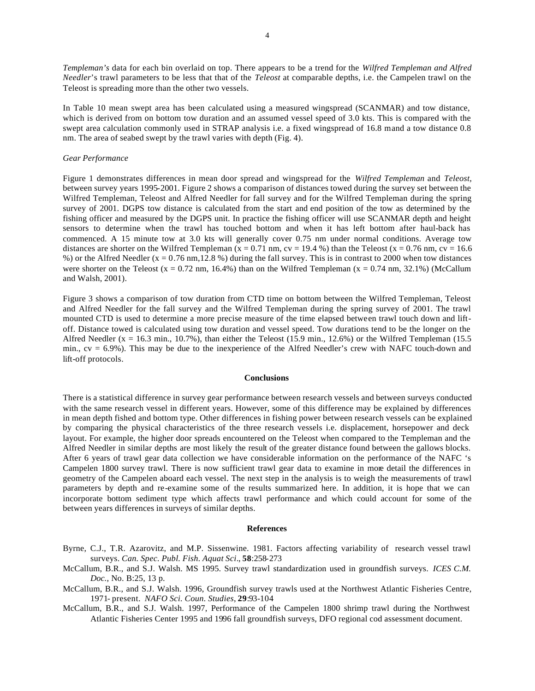*Templeman's* data for each bin overlaid on top. There appears to be a trend for the *Wilfred Templeman and Alfred Needler*'s trawl parameters to be less that that of the *Teleost* at comparable depths, i.e. the Campelen trawl on the Teleost is spreading more than the other two vessels.

In Table 10 mean swept area has been calculated using a measured wingspread (SCANMAR) and tow distance, which is derived from on bottom tow duration and an assumed vessel speed of 3.0 kts. This is compared with the swept area calculation commonly used in STRAP analysis i.e. a fixed wingspread of 16.8 mand a tow distance 0.8 nm. The area of seabed swept by the trawl varies with depth (Fig. 4).

### *Gear Performance*

Figure 1 demonstrates differences in mean door spread and wingspread for the *Wilfred Templeman* and *Teleost*, between survey years 1995-2001. Figure 2 shows a comparison of distances towed during the survey set between the Wilfred Templeman, Teleost and Alfred Needler for fall survey and for the Wilfred Templeman during the spring survey of 2001. DGPS tow distance is calculated from the start and end position of the tow as determined by the fishing officer and measured by the DGPS unit. In practice the fishing officer will use SCANMAR depth and height sensors to determine when the trawl has touched bottom and when it has left bottom after haul-back has commenced. A 15 minute tow at 3.0 kts will generally cover 0.75 nm under normal conditions. Average tow distances are shorter on the Wilfred Templeman  $(x = 0.71$  nm,  $cv = 19.4$  %) than the Teleost  $(x = 0.76$  nm,  $cv = 16.6$ %) or the Alfred Needler (x = 0.76 nm,12.8 %) during the fall survey. This is in contrast to 2000 when tow distances were shorter on the Teleost (x = 0.72 nm, 16.4%) than on the Wilfred Templeman (x = 0.74 nm, 32.1%) (McCallum and Walsh, 2001).

Figure 3 shows a comparison of tow duration from CTD time on bottom between the Wilfred Templeman, Teleost and Alfred Needler for the fall survey and the Wilfred Templeman during the spring survey of 2001. The trawl mounted CTD is used to determine a more precise measure of the time elapsed between trawl touch down and liftoff. Distance towed is calculated using tow duration and vessel speed. Tow durations tend to be the longer on the Alfred Needler ( $x = 16.3$  min., 10.7%), than either the Teleost (15.9 min., 12.6%) or the Wilfred Templeman (15.5) min., cv = 6.9%). This may be due to the inexperience of the Alfred Needler's crew with NAFC touch-down and lift-off protocols.

# **Conclusions**

There is a statistical difference in survey gear performance between research vessels and between surveys conducted with the same research vessel in different years. However, some of this difference may be explained by differences in mean depth fished and bottom type. Other differences in fishing power between research vessels can be explained by comparing the physical characteristics of the three research vessels i.e. displacement, horsepower and deck layout. For example, the higher door spreads encountered on the Teleost when compared to the Templeman and the Alfred Needler in similar depths are most likely the result of the greater distance found between the gallows blocks. After 6 years of trawl gear data collection we have considerable information on the performance of the NAFC 's Campelen 1800 survey trawl. There is now sufficient trawl gear data to examine in more detail the differences in geometry of the Campelen aboard each vessel. The next step in the analysis is to weigh the measurements of trawl parameters by depth and re-examine some of the results summarized here. In addition, it is hope that we can incorporate bottom sediment type which affects trawl performance and which could account for some of the between years differences in surveys of similar depths.

#### **References**

- Byrne, C.J., T.R. Azarovitz, and M.P. Sissenwine. 1981. Factors affecting variability of research vessel trawl surveys. *Can. Spec. Publ. Fish. Aquat Sci*., **58**:258-273
- McCallum, B.R., and S.J. Walsh. MS 1995. Survey trawl standardization used in groundfish surveys. *ICES C.M. Doc.*, No. B:25, 13 p.
- McCallum, B.R., and S.J. Walsh. 1996, Groundfish survey trawls used at the Northwest Atlantic Fisheries Centre, 1971- present. *NAFO Sci. Coun. Studies*, **29**:93-104
- McCallum, B.R., and S.J. Walsh. 1997, Performance of the Campelen 1800 shrimp trawl during the Northwest Atlantic Fisheries Center 1995 and 1996 fall groundfish surveys, DFO regional cod assessment document.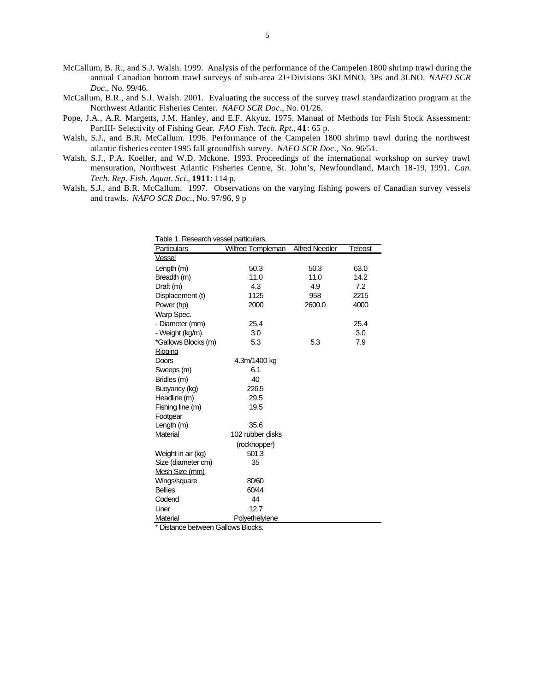- McCallum, B. R., and S.J. Walsh. 1999. Analysis of the performance of the Campelen 1800 shrimp trawl during the annual Canadian bottom trawl surveys of sub-area 2J+Divisions 3KLMNO, 3Ps and 3LNO. *NAFO SCR Doc*., No. 99/46.
- McCallum, B.R., and S.J. Walsh. 2001. Evaluating the success of the survey trawl standardization program at the Northwest Atlantic Fisheries Center. *NAFO SCR Doc*., No. 01/26.
- Pope, J.A., A.R. Margetts, J.M. Hanley, and E.F. Akyuz. 1975. Manual of Methods for Fish Stock Assessment: PartIII- Selectivity of Fishing Gear. *FAO Fish. Tech. Rpt*., **41**: 65 p.
- Walsh, S.J., and B.R. McCallum. 1996. Performance of the Campelen 1800 shrimp trawl during the northwest atlantic fisheries center 1995 fall groundfish survey. *NAFO SCR Doc*., No. 96/51.
- Walsh, S.J., P.A. Koeller, and W.D. Mckone. 1993. Proceedings of the international workshop on survey trawl mensuration, Northwest Atlantic Fisheries Centre, St. John's, Newfoundland, March 18-19, 1991. *Can. Tech. Rep. Fish. Aquat. Sci*., **1911**: 114 p.
- Walsh, S.J., and B.R. McCallum. 1997. Observations on the varying fishing powers of Canadian survey vessels and trawls. *NAFO SCR Doc*., No. 97/96, 9 p

| Table 1. Research vessel particulars. |                          |                       |                |  |  |  |  |  |  |  |
|---------------------------------------|--------------------------|-----------------------|----------------|--|--|--|--|--|--|--|
| Particulars                           | <b>Wilfred Templeman</b> | <b>Alfred Needler</b> | <b>Teleost</b> |  |  |  |  |  |  |  |
| Vessel                                |                          |                       |                |  |  |  |  |  |  |  |
| Length (m)                            | 50.3                     | 50.3                  | 63.0           |  |  |  |  |  |  |  |
| Breadth (m)                           | 11.0                     | 11.0                  | 14.2           |  |  |  |  |  |  |  |
| Draft (m)                             | 4.3                      | 4.9                   | 7.2            |  |  |  |  |  |  |  |
| Displacement (t)                      | 1125                     | 958                   | 2215           |  |  |  |  |  |  |  |
| Power (hp)                            | 2000                     | 2600.0                | 4000           |  |  |  |  |  |  |  |
| Warp Spec.                            |                          |                       |                |  |  |  |  |  |  |  |
| - Diameter (mm)                       | 25.4                     |                       | 25.4           |  |  |  |  |  |  |  |
| - Weight (kg/m)                       | 3.0                      |                       | 3.0            |  |  |  |  |  |  |  |
| *Gallows Blocks (m)                   | 5.3                      | 5.3                   | 7.9            |  |  |  |  |  |  |  |
| Riaaina                               |                          |                       |                |  |  |  |  |  |  |  |
| Doors                                 | 4.3m/1400 kg             |                       |                |  |  |  |  |  |  |  |
| Sweeps (m)                            | 6.1                      |                       |                |  |  |  |  |  |  |  |
| Bridles (m)                           | 40                       |                       |                |  |  |  |  |  |  |  |
| Buoyancy (kg)                         | 226.5                    |                       |                |  |  |  |  |  |  |  |
| Headline (m)                          | 29.5                     |                       |                |  |  |  |  |  |  |  |
| Fishing line (m)                      | 19.5                     |                       |                |  |  |  |  |  |  |  |
| Footgear                              |                          |                       |                |  |  |  |  |  |  |  |
| Length (m)                            | 35.6                     |                       |                |  |  |  |  |  |  |  |
| Material                              | 102 rubber disks         |                       |                |  |  |  |  |  |  |  |
|                                       | (rockhopper)             |                       |                |  |  |  |  |  |  |  |
| Weight in air (kg)                    | 501.3                    |                       |                |  |  |  |  |  |  |  |
| Size (diameter cm)                    | 35                       |                       |                |  |  |  |  |  |  |  |
| Mesh Size (mm)                        |                          |                       |                |  |  |  |  |  |  |  |
| Wings/square                          | 80/60                    |                       |                |  |  |  |  |  |  |  |
| <b>Bellies</b>                        | 60/44                    |                       |                |  |  |  |  |  |  |  |
| Codend                                | 44                       |                       |                |  |  |  |  |  |  |  |
| Liner                                 | 12.7                     |                       |                |  |  |  |  |  |  |  |
| Material                              | Polyethelylene           |                       |                |  |  |  |  |  |  |  |

\* Distance between Gallows Blocks.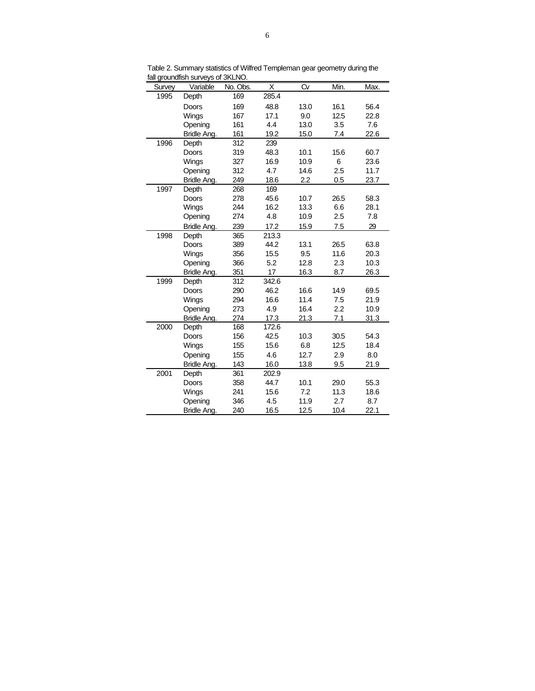| Survey | Variable     | No. Obs. | X     | $\infty$ | Min. | Max. |
|--------|--------------|----------|-------|----------|------|------|
| 1995   | Depth        | 169      | 285.4 |          |      |      |
|        | Doors        | 169      | 48.8  | 13.0     | 16.1 | 56.4 |
|        | Wings        | 167      | 17.1  | 9.0      | 12.5 | 22.8 |
|        | Opening      | 161      | 4.4   | 13.0     | 3.5  | 7.6  |
|        | Bridle Ang.  | 161      | 19.2  | 15.0     | 7.4  | 22.6 |
| 1996   | Depth        | 312      | 239   |          |      |      |
|        | Doors        | 319      | 48.3  | 10.1     | 15.6 | 60.7 |
|        | Wings        | 327      | 16.9  | 10.9     | 6    | 23.6 |
|        | Opening      | 312      | 4.7   | 14.6     | 2.5  | 11.7 |
|        | Bridle Ang.  | 249      | 18.6  | 2.2      | 0.5  | 23.7 |
| 1997   | Depth        | 268      | 169   |          |      |      |
|        | Doors        | 278      | 45.6  | 10.7     | 26.5 | 58.3 |
|        | Wings        | 244      | 16.2  | 13.3     | 6.6  | 28.1 |
|        | Opening      | 274      | 4.8   | 10.9     | 2.5  | 7.8  |
|        | Bridle Ang.  | 239      | 17.2  | 15.9     | 7.5  | 29   |
| 1998   | Depth        | 365      | 213.3 |          |      |      |
|        | Doors        | 389      | 44.2  | 13.1     | 26.5 | 63.8 |
|        | Wings        | 356      | 15.5  | 9.5      | 11.6 | 20.3 |
|        | Opening      | 366      | 5.2   | 12.8     | 2.3  | 10.3 |
|        | Bridle Ang.  | 351      | 17    | 16.3     | 8.7  | 26.3 |
| 1999   | Depth        | 312      | 342.6 |          |      |      |
|        | Doors        | 290      | 46.2  | 16.6     | 14.9 | 69.5 |
|        | Wings        | 294      | 16.6  | 11.4     | 7.5  | 21.9 |
|        | Opening      | 273      | 4.9   | 16.4     | 2.2  | 10.9 |
|        | Bridle Ang.  | 274      | 17.3  | 21.3     | 7.1  | 31.3 |
| 2000   | Depth        | 168      | 172.6 |          |      |      |
|        | Doors        | 156      | 42.5  | 10.3     | 30.5 | 54.3 |
|        | Wings        | 155      | 15.6  | 6.8      | 12.5 | 18.4 |
|        | Opening      | 155      | 4.6   | 12.7     | 2.9  | 8.0  |
|        | Bridle Ang.  | 143      | 16.0  | 13.8     | 9.5  | 21.9 |
| 2001   | Depth        | 361      | 202.9 |          |      |      |
|        | <b>Doors</b> | 358      | 44.7  | 10.1     | 29.0 | 55.3 |
|        | Wings        | 241      | 15.6  | 7.2      | 11.3 | 18.6 |
|        | Opening      | 346      | 4.5   | 11.9     | 2.7  | 8.7  |
|        | Bridle Ang.  | 240      | 16.5  | 12.5     | 10.4 | 22.1 |

Table 2. Summary statistics of Wilfred Templeman gear geometry during the fall groundfish surveys of 3KLNO.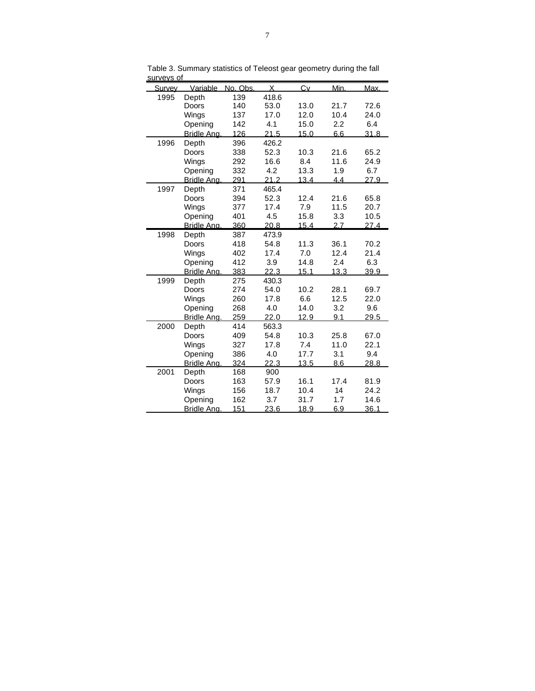| Survey | Variable    | No. Obs. | X     | Cv   | Min. | Max. |
|--------|-------------|----------|-------|------|------|------|
| 1995   | Depth       | 139      | 418.6 |      |      |      |
|        | Doors       | 140      | 53.0  | 13.0 | 21.7 | 72.6 |
|        | Wings       | 137      | 17.0  | 12.0 | 10.4 | 24.0 |
|        | Opening     | 142      | 4.1   | 15.0 | 2.2  | 6.4  |
|        | Bridle Ang. | 126      | 21.5  | 15.0 | 6.6  | 31.8 |
| 1996   | Depth       | 396      | 426.2 |      |      |      |
|        | Doors       | 338      | 52.3  | 10.3 | 21.6 | 65.2 |
|        | Wings       | 292      | 16.6  | 8.4  | 11.6 | 24.9 |
|        | Opening     | 332      | 4.2   | 13.3 | 1.9  | 6.7  |
|        | Bridle Ang. | 291      | 21.2  | 13.4 | 4.4  | 27.9 |
| 1997   | Depth       | 371      | 465.4 |      |      |      |
|        | Doors       | 394      | 52.3  | 12.4 | 21.6 | 65.8 |
|        | Wings       | 377      | 17.4  | 7.9  | 11.5 | 20.7 |
|        | Opening     | 401      | 4.5   | 15.8 | 3.3  | 10.5 |
|        | Bridle Ana. | 360      | 20.8  | 15.4 | 2.7  | 27.4 |
| 1998   | Depth       | 387      | 473.9 |      |      |      |
|        | Doors       | 418      | 54.8  | 11.3 | 36.1 | 70.2 |
|        | Wings       | 402      | 17.4  | 7.0  | 12.4 | 21.4 |
|        | Opening     | 412      | 3.9   | 14.8 | 2.4  | 6.3  |
|        | Bridle Ang. | 383      | 22.3  | 15.1 | 13.3 | 39.9 |
| 1999   | Depth       | 275      | 430.3 |      |      |      |
|        | Doors       | 274      | 54.0  | 10.2 | 28.1 | 69.7 |
|        | Wings       | 260      | 17.8  | 6.6  | 12.5 | 22.0 |
|        | Opening     | 268      | 4.0   | 14.0 | 3.2  | 9.6  |
|        | Bridle Ang. | 259      | 22.0  | 12.9 | 9.1  | 29.5 |
| 2000   | Depth       | 414      | 563.3 |      |      |      |
|        | Doors       | 409      | 54.8  | 10.3 | 25.8 | 67.0 |
|        | Wings       | 327      | 17.8  | 7.4  | 11.0 | 22.1 |
|        | Opening     | 386      | 4.0   | 17.7 | 3.1  | 9.4  |
|        | Bridle Ang. | 324      | 22.3  | 13.5 | 8.6  | 28.8 |
| 2001   | Depth       | 168      | 900   |      |      |      |
|        | Doors       | 163      | 57.9  | 16.1 | 17.4 | 81.9 |
|        | Wings       | 156      | 18.7  | 10.4 | 14   | 24.2 |
|        | Opening     | 162      | 3.7   | 31.7 | 1.7  | 14.6 |
|        | Bridle Ang. | 151      | 23.6  | 18.9 | 6.9  | 36.1 |

Table 3. Summary statistics of Teleost gear geometry during the fall surveys of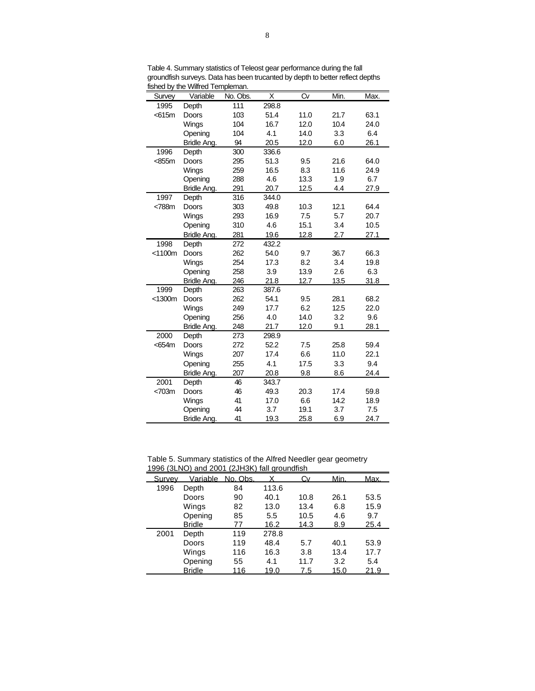| Survey       | Variable     | No. Obs. | $\overline{\mathsf{x}}$ | O۷   | Min. | Max. |
|--------------|--------------|----------|-------------------------|------|------|------|
| 1995         | Depth        | 111      | 298.8                   |      |      |      |
| $615m$       | Doors        | 103      | 51.4                    | 11.0 | 21.7 | 63.1 |
|              | Wings        | 104      | 16.7                    | 12.0 | 10.4 | 24.0 |
|              | Opening      | 104      | 4.1                     | 14.0 | 3.3  | 6.4  |
|              | Bridle Ang.  | 94       | 20.5                    | 12.0 | 6.0  | 26.1 |
| 1996         | Depth        | 300      | 336.6                   |      |      |      |
| $<$ 855 $m$  | Doors        | 295      | 51.3                    | 9.5  | 21.6 | 64.0 |
|              | Wings        | 259      | 16.5                    | 8.3  | 11.6 | 24.9 |
|              | Opening      | 288      | 4.6                     | 13.3 | 1.9  | 6.7  |
|              | Bridle Ang.  | 291      | 20.7                    | 12.5 | 4.4  | 27.9 |
| 1997         | Depth        | 316      | 344.0                   |      |      |      |
| <788m        | Doors        | 303      | 49.8                    | 10.3 | 12.1 | 64.4 |
|              | Wings        | 293      | 16.9                    | 7.5  | 5.7  | 20.7 |
|              | Opening      | 310      | 4.6                     | 15.1 | 3.4  | 10.5 |
|              | Bridle Ang.  | 281      | 19.6                    | 12.8 | 2.7  | 27.1 |
| 1998         | Depth        | 272      | 432.2                   |      |      |      |
| < 1100m      | Doors        | 262      | 54.0                    | 9.7  | 36.7 | 66.3 |
|              | Wings        | 254      | 17.3                    | 8.2  | 3.4  | 19.8 |
|              | Opening      | 258      | 3.9                     | 13.9 | 2.6  | 6.3  |
|              | Bridle Ang.  | 246      | 21.8                    | 12.7 | 13.5 | 31.8 |
| 1999         | Depth        | 263      | 387.6                   |      |      |      |
| $<$ 1300 $m$ | <b>Doors</b> | 262      | 54.1                    | 9.5  | 28.1 | 68.2 |
|              | Wings        | 249      | 17.7                    | 6.2  | 12.5 | 22.0 |
|              | Opening      | 256      | 4.0                     | 14.0 | 3.2  | 9.6  |
|              | Bridle Ang.  | 248      | 21.7                    | 12.0 | 9.1  | 28.1 |
| 2000         | Depth        | 273      | 298.9                   |      |      |      |
| $<$ 654 $m$  | Doors        | 272      | 52.2                    | 7.5  | 25.8 | 59.4 |
|              | Wings        | 207      | 17.4                    | 6.6  | 11.0 | 22.1 |
|              | Opening      | 255      | 4.1                     | 17.5 | 3.3  | 9.4  |
|              | Bridle Ang.  | 207      | 20.8                    | 9.8  | 8.6  | 24.4 |
| 2001         | Depth        | 46       | 343.7                   |      |      |      |
| <703m        | Doors        | 46       | 49.3                    | 20.3 | 17.4 | 59.8 |
|              | Wings        | 41       | 17.0                    | 6.6  | 14.2 | 18.9 |
|              | Opening      | 44       | 3.7                     | 19.1 | 3.7  | 7.5  |
|              | Bridle Ang.  | 41       | 19.3                    | 25.8 | 6.9  | 24.7 |

Table 4. Summary statistics of Teleost gear performance during the fall groundfish surveys. Data has been trucanted by depth to better reflect depths fished by the Wilfred Templeman.

Table 5. Summary statistics of the Alfred Needler gear geometry 1996 (3LNO) and 2001 (2JH3K) fall groundfish

| Survev |               | Variable No. Obs. |       | Cν   | Min. | Max. |
|--------|---------------|-------------------|-------|------|------|------|
| 1996   | Depth         | 84                | 113.6 |      |      |      |
|        | Doors         | 90                | 40.1  | 10.8 | 26.1 | 53.5 |
|        | Wings         | 82                | 13.0  | 13.4 | 6.8  | 15.9 |
|        | Opening       | 85                | 5.5   | 10.5 | 4.6  | 9.7  |
|        | <b>Bridle</b> | 77                | 16.2  | 14.3 | 8.9  | 25.4 |
| 2001   | Depth         | 119               | 278.8 |      |      |      |
|        | Doors         | 119               | 48.4  | 5.7  | 40.1 | 53.9 |
|        | Wings         | 116               | 16.3  | 3.8  | 13.4 | 17.7 |
|        | Opening       | 55                | 4.1   | 11.7 | 3.2  | 5.4  |
|        | <b>Bridle</b> | 116               | 19.0  | 7.5  | 15.0 | 21.9 |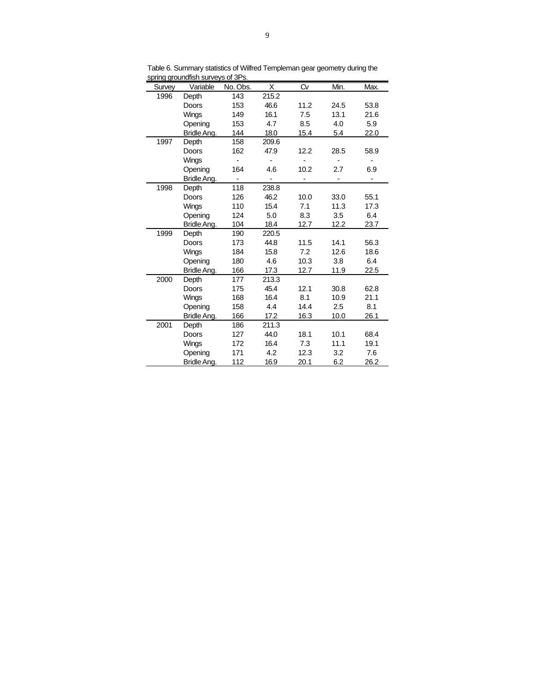| Survey | Variable    | No. Obs.                 | X             | O۷   | Min.    | Max. |
|--------|-------------|--------------------------|---------------|------|---------|------|
| 1996   | Depth       | 143                      | 215.2         |      |         |      |
|        | Doors       | 153                      | 46.6          | 11.2 | 24.5    | 53.8 |
|        | Wings       | 149                      | 16.1          | 7.5  | 13.1    | 21.6 |
|        | Opening     | 153                      | 4.7           | 8.5  | 4.0     | 5.9  |
|        | Bridle Ang. | 144                      | 18.0          | 15.4 | 5.4     | 22.0 |
| 1997   | Depth       | 158                      | 209.6         |      |         |      |
|        | Doors       | 162                      | 47.9          | 12.2 | 28.5    | 58.9 |
|        | Wings       | $\blacksquare$           |               |      |         |      |
|        | Opening     | 164                      | 4.6           | 10.2 | 2.7     | 6.9  |
|        | Bridle Ang. | $\overline{\phantom{a}}$ | $\frac{1}{2}$ |      |         |      |
| 1998   | Depth       | 118                      | 238.8         |      |         |      |
|        | Doors       | 126                      | 46.2          | 10.0 | 33.0    | 55.1 |
|        | Wings       | 110                      | 15.4          | 7.1  | 11.3    | 17.3 |
|        | Opening     | 124                      | 5.0           | 8.3  | 3.5     | 6.4  |
|        | Bridle Ang. | 104                      | 18.4          | 12.7 | 12.2    | 23.7 |
| 1999   | Depth       | 190                      | 220.5         |      |         |      |
|        | Doors       | 173                      | 44.8          | 11.5 | 14.1    | 56.3 |
|        | Wings       | 184                      | 15.8          | 7.2  | 12.6    | 18.6 |
|        | Opening     | 180                      | 4.6           | 10.3 | 3.8     | 6.4  |
|        | Bridle Ang. | 166                      | 17.3          | 12.7 | 11.9    | 22.5 |
| 2000   | Depth       | 177                      | 213.3         |      |         |      |
|        | Doors       | 175                      | 45.4          | 12.1 | 30.8    | 62.8 |
|        | Wings       | 168                      | 16.4          | 8.1  | 10.9    | 21.1 |
|        | Opening     | 158                      | 4.4           | 14.4 | $2.5\,$ | 8.1  |
|        | Bridle Ang. | 166                      | 17.2          | 16.3 | 10.0    | 26.1 |
| 2001   | Depth       | 186                      | 211.3         |      |         |      |
|        | Doors       | 127                      | 44.0          | 18.1 | 10.1    | 68.4 |
|        | Wings       | 172                      | 16.4          | 7.3  | 11.1    | 19.1 |
|        | Opening     | 171                      | 4.2           | 12.3 | 3.2     | 7.6  |
|        | Bridle Ang. | 112                      | 16.9          | 20.1 | 6.2     | 26.2 |

Table 6. Summary statistics of Wilfred Templeman gear geometry during the spring groundfish surveys of 3Ps.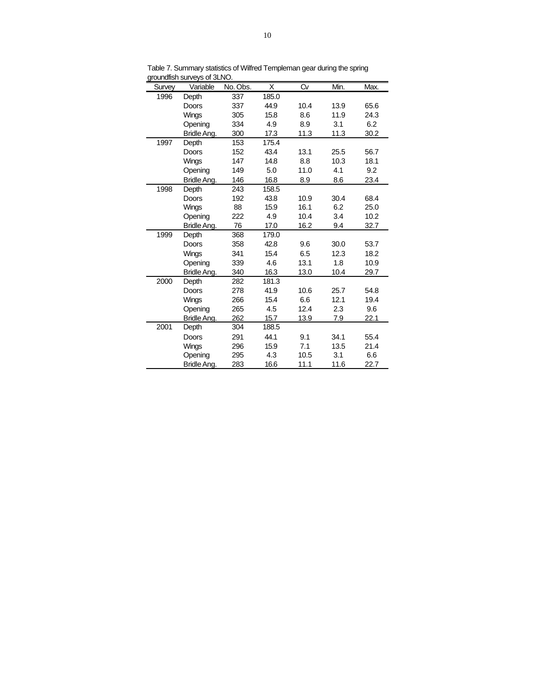| Survey | Variable    | No. Obs. | Χ     | O۷   | Min. | Max. |
|--------|-------------|----------|-------|------|------|------|
| 1996   | Depth       | 337      | 185.0 |      |      |      |
|        | Doors       | 337      | 44.9  | 10.4 | 13.9 | 65.6 |
|        | Wings       | 305      | 15.8  | 8.6  | 11.9 | 24.3 |
|        | Opening     | 334      | 4.9   | 8.9  | 3.1  | 6.2  |
|        | Bridle Ang. | 300      | 17.3  | 11.3 | 11.3 | 30.2 |
| 1997   | Depth       | 153      | 175.4 |      |      |      |
|        | Doors       | 152      | 43.4  | 13.1 | 25.5 | 56.7 |
|        | Wings       | 147      | 14.8  | 8.8  | 10.3 | 18.1 |
|        | Opening     | 149      | 5.0   | 11.0 | 4.1  | 9.2  |
|        | Bridle Ang. | 146      | 16.8  | 8.9  | 8.6  | 23.4 |
| 1998   | Depth       | 243      | 158.5 |      |      |      |
|        | Doors       | 192      | 43.8  | 10.9 | 30.4 | 68.4 |
|        | Wings       | 88       | 15.9  | 16.1 | 6.2  | 25.0 |
|        | Opening     | 222      | 4.9   | 10.4 | 3.4  | 10.2 |
|        | Bridle Ang. | 76       | 17.0  | 16.2 | 9.4  | 32.7 |
| 1999   | Depth       | 368      | 179.0 |      |      |      |
|        | Doors       | 358      | 42.8  | 9.6  | 30.0 | 53.7 |
|        | Wings       | 341      | 15.4  | 6.5  | 12.3 | 18.2 |
|        | Opening     | 339      | 4.6   | 13.1 | 1.8  | 10.9 |
|        | Bridle Ang. | 340      | 16.3  | 13.0 | 10.4 | 29.7 |
| 2000   | Depth       | 282      | 181.3 |      |      |      |
|        | Doors       | 278      | 41.9  | 10.6 | 25.7 | 54.8 |
|        | Wings       | 266      | 15.4  | 6.6  | 12.1 | 19.4 |
|        | Opening     | 265      | 4.5   | 12.4 | 2.3  | 9.6  |
|        | Bridle Ang. | 262      | 15.7  | 13.9 | 7.9  | 22.1 |
| 2001   | Depth       | 304      | 188.5 |      |      |      |
|        | Doors       | 291      | 44.1  | 9.1  | 34.1 | 55.4 |
|        | Wings       | 296      | 15.9  | 7.1  | 13.5 | 21.4 |
|        | Opening     | 295      | 4.3   | 10.5 | 3.1  | 6.6  |
|        | Bridle Ang. | 283      | 16.6  | 11.1 | 11.6 | 22.7 |

Table 7. Summary statistics of Wilfred Templeman gear during the spring groundfish surveys of 3LNO.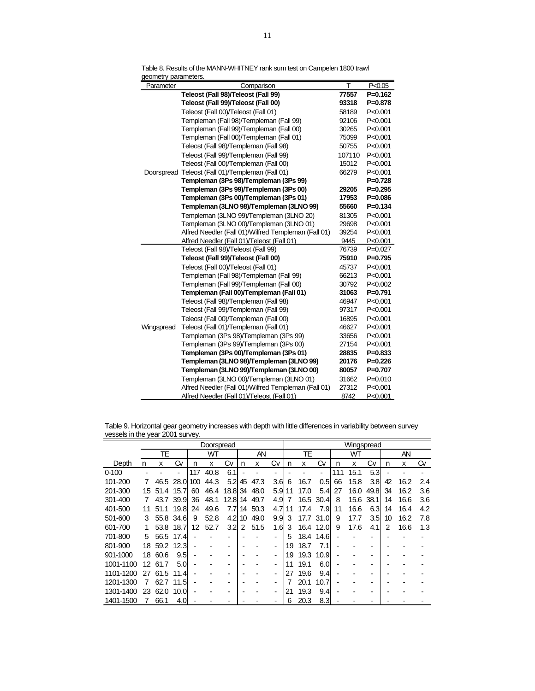| Parameter  | Comparison                                           | Т      | P<0.05      |
|------------|------------------------------------------------------|--------|-------------|
|            | Teleost (Fall 98)/Teleost (Fall 99)                  | 77557  | $P = 0.162$ |
|            | Teleost (Fall 99)/Teleost (Fall 00)                  | 93318  | $P = 0.878$ |
|            | Teleost (Fall 00)/Teleost (Fall 01)                  | 58189  | P<0.001     |
|            | Templeman (Fall 98)/Templeman (Fall 99)              | 92106  | P<0.001     |
|            | Templeman (Fall 99)/Templeman (Fall 00)              | 30265  | P<0.001     |
|            | Templeman (Fall 00)/Templeman (Fall 01)              | 75099  | P<0.001     |
|            | Teleost (Fall 98)/Templeman (Fall 98)                | 50755  | P<0.001     |
|            | Teleost (Fall 99)/Templeman (Fall 99)                | 107110 | P<0.001     |
|            | Teleost (Fall 00)/Templeman (Fall 00)                | 15012  | P<0.001     |
|            | Doorspread Teleost (Fall 01)/Templeman (Fall 01)     | 66279  | P<0.001     |
|            | Templeman (3Ps 98)/Templeman (3Ps 99)                |        | $P = 0.728$ |
|            | Templeman (3Ps 99)/Templeman (3Ps 00)                | 29205  | $P = 0.295$ |
|            | Templeman (3Ps 00)/Templeman (3Ps 01)                | 17953  | $P = 0.086$ |
|            | Templeman (3LNO 98)/Templeman (3LNO 99)              | 55660  | $P = 0.134$ |
|            | Templeman (3LNO 99)/Templeman (3LNO 20)              | 81305  | P<0.001     |
|            | Templeman (3LNO 00)/Templeman (3LNO 01)              | 29698  | P<0.001     |
|            | Alfred Needler (Fall 01)/Wilfred Templeman (Fall 01) | 39254  | P<0.001     |
|            | Alfred Needler (Fall 01)/Teleost (Fall 01)           | 9445   | P<0.001     |
|            | Teleost (Fall 98)/Teleost (Fall 99)                  | 76739  | $P = 0.027$ |
|            | Teleost (Fall 99)/Teleost (Fall 00)                  | 75910  | $P = 0.795$ |
|            | Teleost (Fall 00)/Teleost (Fall 01)                  | 45737  | P<0.001     |
|            | Templeman (Fall 98)/Templeman (Fall 99)              | 66213  | P<0.001     |
|            | Templeman (Fall 99)/Templeman (Fall 00)              | 30792  | P<0.002     |
|            | Templeman (Fall 00)/Templeman (Fall 01)              | 31063  | $P = 0.791$ |
|            | Teleost (Fall 98)/Templeman (Fall 98)                | 46947  | P<0.001     |
|            | Teleost (Fall 99)/Templeman (Fall 99)                | 97317  | P<0.001     |
|            | Teleost (Fall 00)/Templeman (Fall 00)                | 16895  | P<0.001     |
| Wingspread | Teleost (Fall 01)/Templeman (Fall 01)                | 46627  | P<0.001     |
|            | Templeman (3Ps 98)/Templeman (3Ps 99)                | 33656  | P<0.001     |
|            | Templeman (3Ps 99)/Templeman (3Ps 00)                | 27154  | P<0.001     |
|            | Templeman (3Ps 00)/Templeman (3Ps 01)                | 28835  | $P = 0.833$ |
|            | Templeman (3LNO 98)/Templeman (3LNO 99)              | 20176  | $P = 0.226$ |
|            | Templeman (3LNO 99)/Templeman (3LNO 00)              | 80057  | $P = 0.707$ |
|            | Templeman (3LNO 00)/Templeman (3LNO 01)              | 31662  | P=0.010     |
|            | Alfred Needler (Fall 01)/Wilfred Templeman (Fall 01) | 27312  | P<0.001     |
|            | Alfred Needler (Fall 01)/Teleost (Fall 01)           | 8742   | P<0.001     |

Table 8. Results of the MANN-WHITNEY rank sum test on Campelen 1800 trawl geometry parameters.

Table 9. Horizontal gear geometry increases with depth with little differences in variability between survey vessels in the year 2001 survey.

|           |    | Doorspread |                  |     |      |                  |    |              |        | Wingspread |      |                  |     |      |      |    |      |     |
|-----------|----|------------|------------------|-----|------|------------------|----|--------------|--------|------------|------|------------------|-----|------|------|----|------|-----|
|           |    | TE         |                  |     | WТ   |                  | AN |              |        | TE         |      |                  | WT  |      |      | AN |      |     |
| Depth     | n  | x          | O۷               | n   | x    | Cv               | n  | x            | Cv     | n          | x    | O۷               | n   | x    | Cv   | n  | x    | O۷  |
| $0 - 100$ |    |            |                  | 117 | 40.8 | 6.1              |    |              |        |            |      | -                | 111 | 15.1 | 5.3  |    |      |     |
| 101-200   |    | 46.5       | 28.0 100         |     | 44.3 | 5.2              | 45 | 47.3         | 3.6    | 6          | 16.7 | 0.5 <sub>l</sub> | 66  | 15.8 | 3.8  | 42 | 16.2 | 2.4 |
| 201-300   | 15 |            | 51.4 15.7        | 60  | 46.4 |                  |    | 18.8 34 48.0 | 5.9    | 11         | 17.0 | 5.4 <sub>l</sub> | 27  | 16.0 | 49.8 | 34 | 16.2 | 3.6 |
| 301-400   |    |            | 43.7 39.9        | 36  | 48.1 | 12.8             | 14 | 49.7         | 4.9    | 7          | 16.5 | 30.4             | 8   | 15.6 | 38.1 | 14 | 16.6 | 3.6 |
| 401-500   | 11 |            | 51.1 19.8        | 24  | 49.6 | 7.7              | 14 | 50.3         | 4.7 11 |            |      | 17.4 7.9         | 11  | 16.6 | 6.3  | 14 | 16.4 | 4.2 |
| 501-600   | 3  |            | 55.8 34.6        | 9   | 52.8 | 4.2              | 10 | 49.0         | 9.9    | 3          |      | 17.7 31.0        | 9   | 17.7 | 3.5  | 10 | 16.2 | 7.8 |
| 601-700   |    |            | 53.8 18.7        | 12  | 52.7 | 3.2 <sub>l</sub> | 2  | 51.5         | 1.6    | 3          |      | 16.4 12.0        | 9   | 17.6 | 4.1  | 2  | 16.6 | 1.3 |
| 701-800   | 5  |            | 56.5 17.4        |     |      |                  |    |              |        | 5          | 18.4 | 14.6             |     |      |      |    |      |     |
| 801-900   | 18 |            | 59.2 12.3        |     |      |                  |    |              | -      | 19         | 18.7 | 7.1              |     |      |      |    |      |     |
| 901-1000  | 18 | 60.6       | 9.5              |     |      | $\blacksquare$   |    |              | -      | 19         | 19.3 | 10.9             |     |      |      |    |      |     |
| 1001-1100 | 12 | 61.7       | 5.0 <sub>l</sub> |     |      | $\blacksquare$   |    |              |        | 11         | 19.1 | 6.0              |     |      |      |    |      |     |
| 1101-1200 | 27 | 61.5       | 11.4             |     |      | $\blacksquare$   |    |              |        | 27         | 19.6 | 9.4              |     |      |      |    |      |     |
| 1201-1300 | 7  | 62.7       | 11.5             |     |      |                  |    |              |        | 7          | 20.1 | 10.7             |     |      |      |    |      |     |
| 1301-1400 | 23 | 62.0       | 10.0             |     |      |                  |    |              |        | 21         | 19.3 | 9.4              |     |      |      |    |      |     |
| 1401-1500 |    | 66.1       | 4.0              |     |      |                  |    |              |        | 6          | 20.3 | 8.3              |     |      |      |    |      |     |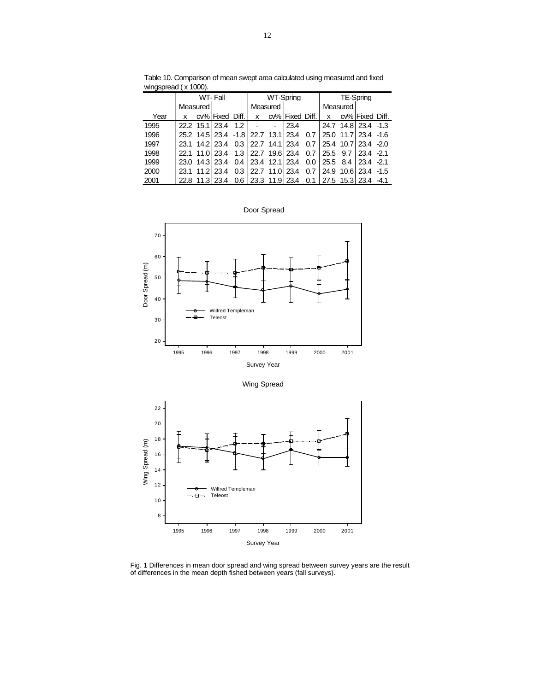|      |            |  | WT-Fall                             |     |                          |  | WT-Spring                |          | <b>TE-Spring</b> |  |                                                           |  |
|------|------------|--|-------------------------------------|-----|--------------------------|--|--------------------------|----------|------------------|--|-----------------------------------------------------------|--|
|      | Measured I |  |                                     |     | Measured                 |  |                          | Measured |                  |  |                                                           |  |
| Year | x          |  | cv% Fixed Diff.                     |     | x                        |  | cv% Fixed Diff.          |          | X                |  | cv% Fixed Diff.                                           |  |
| 1995 |            |  | 22.2 15.1 23.4                      | 1.2 |                          |  | 23.4                     |          |                  |  | 24.7 14.8 23.4 - 1.3                                      |  |
| 1996 |            |  | 25.2 14.5 23.4 - 1.8 22.7 13.1 23.4 |     |                          |  |                          | 0.7      |                  |  | 25.0 11.7 23.4 - 1.6                                      |  |
| 1997 |            |  | 23.1 14.2 23.4                      |     |                          |  |                          |          |                  |  | 0.3 22.7 14.1 23.4 0.7 25.4 10.7 23.4 -2.0                |  |
| 1998 |            |  | 22.1 11.0 23.4                      |     |                          |  | 1.3 22.7 19.6 23.4 0.7   |          |                  |  | $25.5$ $9.7$ $23.4$ $-2.1$                                |  |
| 1999 | 23.0       |  | 14.3 23.4                           |     |                          |  | $0.4$   23.4 12.1   23.4 |          |                  |  | $0.0$   25.5 $8.4$   23.4 $-2.1$                          |  |
| 2000 |            |  | 23.1 11.2 23.4                      |     | $0.3$   22.7 11.0   23.4 |  |                          |          |                  |  | 0.7 24.9 10.6 23.4 -1.5                                   |  |
| 2001 |            |  |                                     |     |                          |  |                          |          |                  |  | 22.8 11.3 23.4 0.6 23.3 11.9 23.4 0.1 27.5 15.3 23.4 -4.1 |  |
|      |            |  |                                     |     |                          |  |                          |          |                  |  |                                                           |  |

Table 10. Comparison of mean swept area calculated using measured and fixed wingspread ( x 1000).



Wing Spread



Fig. 1 Differences in mean door spread and wing spread between survey years are the result of differences in the mean depth fished between years (fall surveys).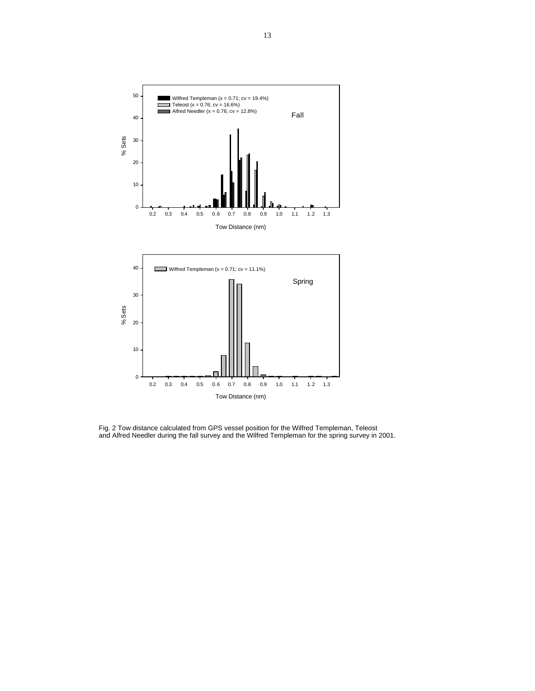

Fig. 2 Tow distance calculated from GPS vessel position for the Wilfred Templeman, Teleost and Alfred Needler during the fall survey and the Wilfred Templeman for the spring survey in 2001.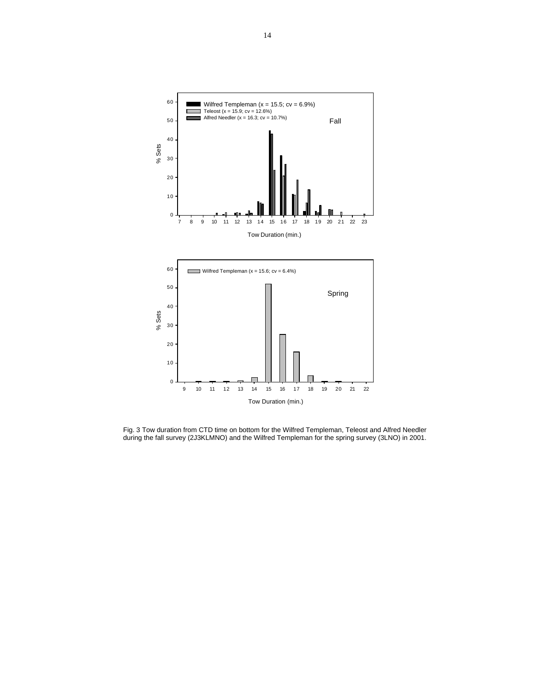



Fig. 3 Tow duration from CTD time on bottom for the Wilfred Templeman, Teleost and Alfred Needler during the fall survey (2J3KLMNO) and the Wilfred Templeman for the spring survey (3LNO) in 2001.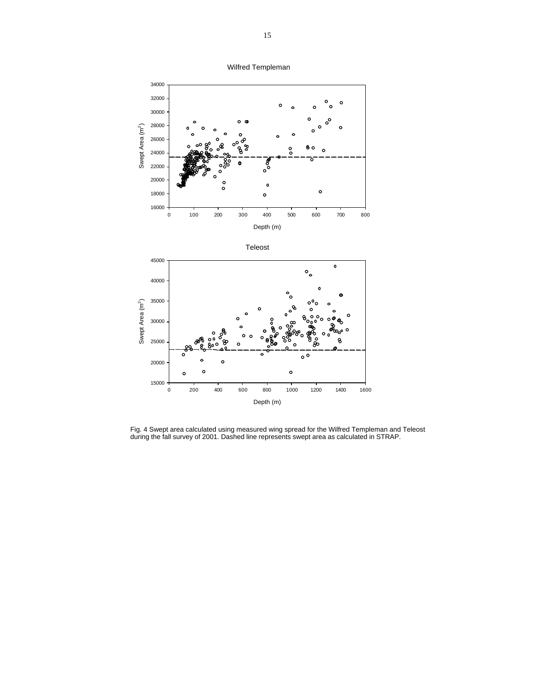

Wilfred Templeman

Fig. 4 Swept area calculated using measured wing spread for the Wilfred Templeman and Teleost during the fall survey of 2001. Dashed line represents swept area as calculated in STRAP.